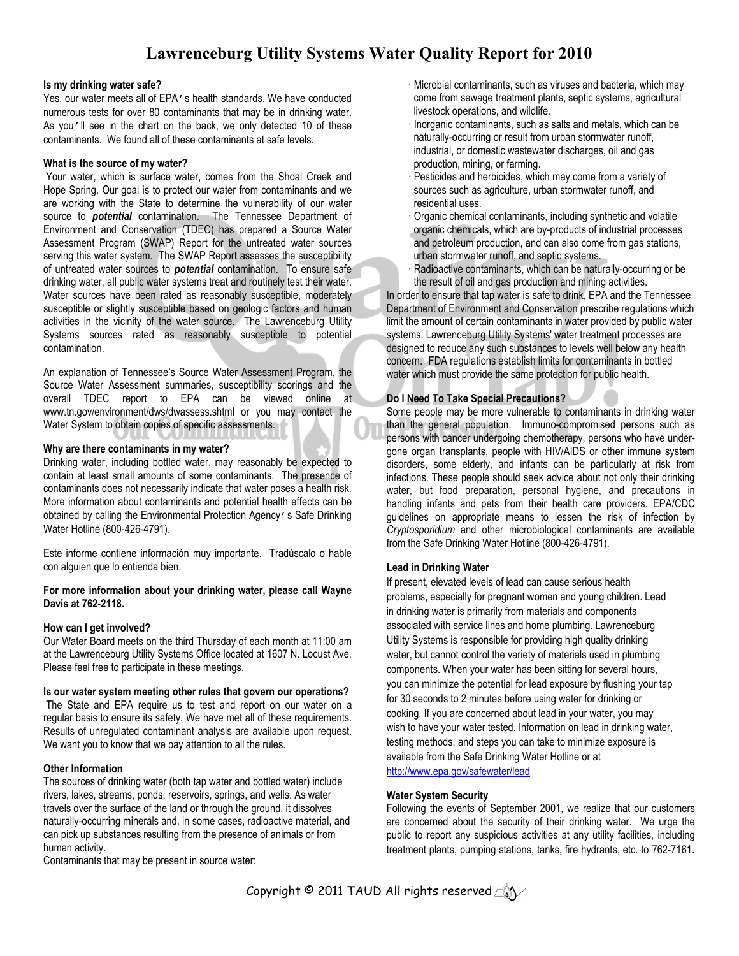# **Lawrenceburg Utility Systems Water Quality Report for 2010**

#### **Is my drinking water safe?**

Yes, our water meets all of EPA's health standards. We have conducted numerous tests for over 80 contaminants that may be in drinking water. As you'll see in the chart on the back, we only detected 10 of these contaminants. We found all of these contaminants at safe levels.

### **What is the source of my water?**

 Your water, which is surface water, comes from the Shoal Creek and Hope Spring. Our goal is to protect our water from contaminants and we are working with the State to determine the vulnerability of our water source to *potential* contamination. The Tennessee Department of Environment and Conservation (TDEC) has prepared a Source Water Assessment Program (SWAP) Report for the untreated water sources serving this water system. The SWAP Report assesses the susceptibility of untreated water sources to *potential* contamination. To ensure safe drinking water, all public water systems treat and routinely test their water. Water sources have been rated as reasonably susceptible, moderately susceptible or slightly susceptible based on geologic factors and human activities in the vicinity of the water source. The Lawrenceburg Utility Systems sources rated as reasonably susceptible to potential contamination.

An explanation of Tennessee's Source Water Assessment Program, the Source Water Assessment summaries, susceptibility scorings and the overall TDEC report to EPA can be viewed online at www.tn.gov/environment/dws/dwassess.shtml or you may contact the Water System to obtain copies of specific assessments.

#### **Why are there contaminants in my water?**

Drinking water, including bottled water, may reasonably be expected to contain at least small amounts of some contaminants. The presence of contaminants does not necessarily indicate that water poses a health risk. More information about contaminants and potential health effects can be obtained by calling the Environmental Protection Agency's Safe Drinking Water Hotline (800-426-4791).

Este informe contiene información muy importante. Tradúscalo o hable con alguien que lo entienda bien.

### **For more information about your drinking water, please call Wayne Davis at 762-2118.**

# **How can I get involved?**

Our Water Board meets on the third Thursday of each month at 11:00 am at the Lawrenceburg Utility Systems Office located at 1607 N. Locust Ave. Please feel free to participate in these meetings.

#### **Is our water system meeting other rules that govern our operations?**

 The State and EPA require us to test and report on our water on a regular basis to ensure its safety. We have met all of these requirements. Results of unregulated contaminant analysis are available upon request. We want you to know that we pay attention to all the rules.

# **Other Information**

The sources of drinking water (both tap water and bottled water) include rivers, lakes, streams, ponds, reservoirs, springs, and wells. As water travels over the surface of the land or through the ground, it dissolves naturally-occurring minerals and, in some cases, radioactive material, and can pick up substances resulting from the presence of animals or from human activity.

Contaminants that may be present in source water:

- Microbial contaminants, such as viruses and bacteria, which may come from sewage treatment plants, septic systems, agricultural livestock operations, and wildlife.
- Inorganic contaminants, such as salts and metals, which can be naturally-occurring or result from urban stormwater runoff, industrial, or domestic wastewater discharges, oil and gas production, mining, or farming.
- Pesticides and herbicides, which may come from a variety of sources such as agriculture, urban stormwater runoff, and residential uses.
- Organic chemical contaminants, including synthetic and volatile organic chemicals, which are by-products of industrial processes and petroleum production, and can also come from gas stations, urban stormwater runoff, and septic systems.
- Radioactive contaminants, which can be naturally-occurring or be the result of oil and gas production and mining activities.

In order to ensure that tap water is safe to drink, EPA and the Tennessee Department of Environment and Conservation prescribe regulations which limit the amount of certain contaminants in water provided by public water systems. Lawrenceburg Utility Systems' water treatment processes are designed to reduce any such substances to levels well below any health concern. FDA regulations establish limits for contaminants in bottled water which must provide the same protection for public health.

# **Do I Need To Take Special Precautions?**

Some people may be more vulnerable to contaminants in drinking water than the general population. Immuno-compromised persons such as persons with cancer undergoing chemotherapy, persons who have undergone organ transplants, people with HIV/AIDS or other immune system disorders, some elderly, and infants can be particularly at risk from infections. These people should seek advice about not only their drinking water, but food preparation, personal hygiene, and precautions in handling infants and pets from their health care providers. EPA/CDC guidelines on appropriate means to lessen the risk of infection by *Cryptosporidium* and other microbiological contaminants are available from the Safe Drinking Water Hotline (800-426-4791).

# **Lead in Drinking Water**

If present, elevated levels of lead can cause serious health problems, especially for pregnant women and young children. Lead in drinking water is primarily from materials and components associated with service lines and home plumbing. Lawrenceburg Utility Systems is responsible for providing high quality drinking water, but cannot control the variety of materials used in plumbing components. When your water has been sitting for several hours, you can minimize the potential for lead exposure by flushing your tap for 30 seconds to 2 minutes before using water for drinking or cooking. If you are concerned about lead in your water, you may wish to have your water tested. Information on lead in drinking water, testing methods, and steps you can take to minimize exposure is available from the Safe Drinking Water Hotline or at http://www.epa.gov/safewater/lead

#### **Water System Security**

Following the events of September 2001, we realize that our customers are concerned about the security of their drinking water. We urge the public to report any suspicious activities at any utility facilities, including treatment plants, pumping stations, tanks, fire hydrants, etc. to 762-7161.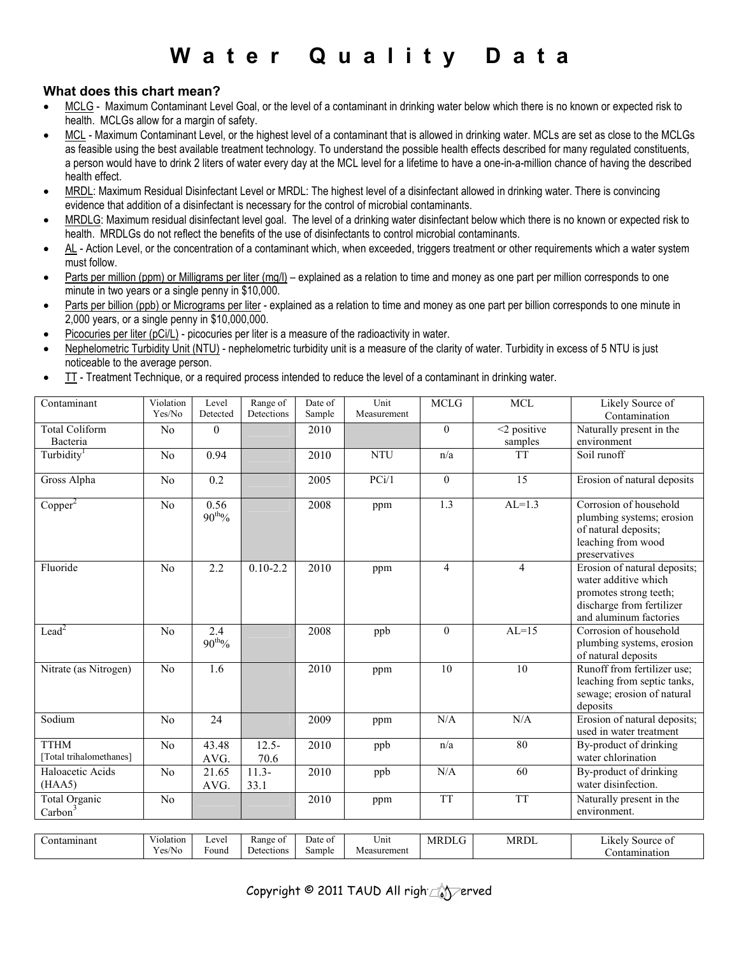# **W a t e r Q u a l i t y D a t a**

# **What does this chart mean?**

- MCLG Maximum Contaminant Level Goal, or the level of a contaminant in drinking water below which there is no known or expected risk to health. MCLGs allow for a margin of safety.
- MCL Maximum Contaminant Level, or the highest level of a contaminant that is allowed in drinking water. MCLs are set as close to the MCLGs as feasible using the best available treatment technology. To understand the possible health effects described for many regulated constituents, a person would have to drink 2 liters of water every day at the MCL level for a lifetime to have a one-in-a-million chance of having the described health effect.
- MRDL: Maximum Residual Disinfectant Level or MRDL: The highest level of a disinfectant allowed in drinking water. There is convincing evidence that addition of a disinfectant is necessary for the control of microbial contaminants.
- MRDLG: Maximum residual disinfectant level goal. The level of a drinking water disinfectant below which there is no known or expected risk to health. MRDLGs do not reflect the benefits of the use of disinfectants to control microbial contaminants.
- AL Action Level, or the concentration of a contaminant which, when exceeded, triggers treatment or other requirements which a water system must follow.
- Parts per million (ppm) or Milligrams per liter (mg/l) explained as a relation to time and money as one part per million corresponds to one minute in two years or a single penny in \$10,000.
- Parts per billion (ppb) or Micrograms per liter explained as a relation to time and money as one part per billion corresponds to one minute in 2,000 years, or a single penny in \$10,000,000.
- Picocuries per liter (pCi/L) picocuries per liter is a measure of the radioactivity in water.
- Nephelometric Turbidity Unit (NTU) nephelometric turbidity unit is a measure of the clarity of water. Turbidity in excess of 5 NTU is just noticeable to the average person.
- TT Treatment Technique, or a required process intended to reduce the level of a contaminant in drinking water.

| Contaminant                            | Violation<br>Yes/No | Level<br>Detected         | Range of<br>Detections | Date of<br>Sample | Unit<br>Measurement | <b>MCLG</b>    | <b>MCL</b>        | Likely Source of<br>Contamination                                                                                                     |
|----------------------------------------|---------------------|---------------------------|------------------------|-------------------|---------------------|----------------|-------------------|---------------------------------------------------------------------------------------------------------------------------------------|
| <b>Total Coliform</b>                  | N <sub>0</sub>      | $\Omega$                  |                        | 2010              |                     | $\theta$       | $\leq$ 2 positive | Naturally present in the                                                                                                              |
| Bacteria                               |                     |                           |                        |                   |                     |                | samples           | environment                                                                                                                           |
| Turbidity <sup>1</sup>                 | No                  | 0.94                      |                        | 2010              | <b>NTU</b>          | n/a            | <b>TT</b>         | Soil runoff                                                                                                                           |
| Gross Alpha                            | N <sub>o</sub>      | 0.2                       |                        | 2005              | PCi/1               | $\theta$       | 15                | Erosion of natural deposits                                                                                                           |
| Copper <sup>2</sup>                    | N <sub>o</sub>      | 0.56<br>$90^{\rm th}\%$   |                        | 2008              | ppm                 | 1.3            | $AL=1.3$          | Corrosion of household<br>plumbing systems; erosion<br>of natural deposits;<br>leaching from wood<br>preservatives                    |
| Fluoride                               | N <sub>o</sub>      | $\overline{2.2}$          | $0.10 - 2.2$           | 2010              | ppm                 | $\overline{4}$ | $\overline{4}$    | Erosion of natural deposits;<br>water additive which<br>promotes strong teeth;<br>discharge from fertilizer<br>and aluminum factories |
| $\text{Lead}^2$                        | N <sub>o</sub>      | 2.4<br>$90^{\text{th}}\%$ |                        | 2008              | ppb                 | $\mathbf{0}$   | $AL=15$           | Corrosion of household<br>plumbing systems, erosion<br>of natural deposits                                                            |
| Nitrate (as Nitrogen)                  | N <sub>o</sub>      | 1.6                       |                        | 2010              | ppm                 | 10             | 10                | Runoff from fertilizer use;<br>leaching from septic tanks,<br>sewage; erosion of natural<br>deposits                                  |
| Sodium                                 | N <sub>o</sub>      | 24                        |                        | 2009              | ppm                 | N/A            | N/A               | Erosion of natural deposits;<br>used in water treatment                                                                               |
| <b>TTHM</b><br>[Total trihalomethanes] | N <sub>0</sub>      | 43.48<br>AVG.             | $12.5 -$<br>70.6       | 2010              | ppb                 | n/a            | 80                | By-product of drinking<br>water chlorination                                                                                          |
| Haloacetic Acids<br>(HAA5)             | N <sub>0</sub>      | 21.65<br>AVG.             | $11.3-$<br>33.1        | 2010              | ppb                 | N/A            | 60                | By-product of drinking<br>water disinfection.                                                                                         |
| Total Organic<br>Carbon <sup>3</sup>   | N <sub>0</sub>      |                           |                        | 2010              | ppm                 | <b>TT</b>      | <b>TT</b>         | Naturally present in the<br>environment.                                                                                              |
|                                        |                     |                           |                        |                   |                     |                |                   |                                                                                                                                       |
| Contaminant                            | Violation<br>Yes/No | Level<br>Found            | Range of<br>Detections | Date of<br>Sample | Unit<br>Measurement | <b>MRDLG</b>   | <b>MRDL</b>       | Likely Source of<br>Contamination                                                                                                     |